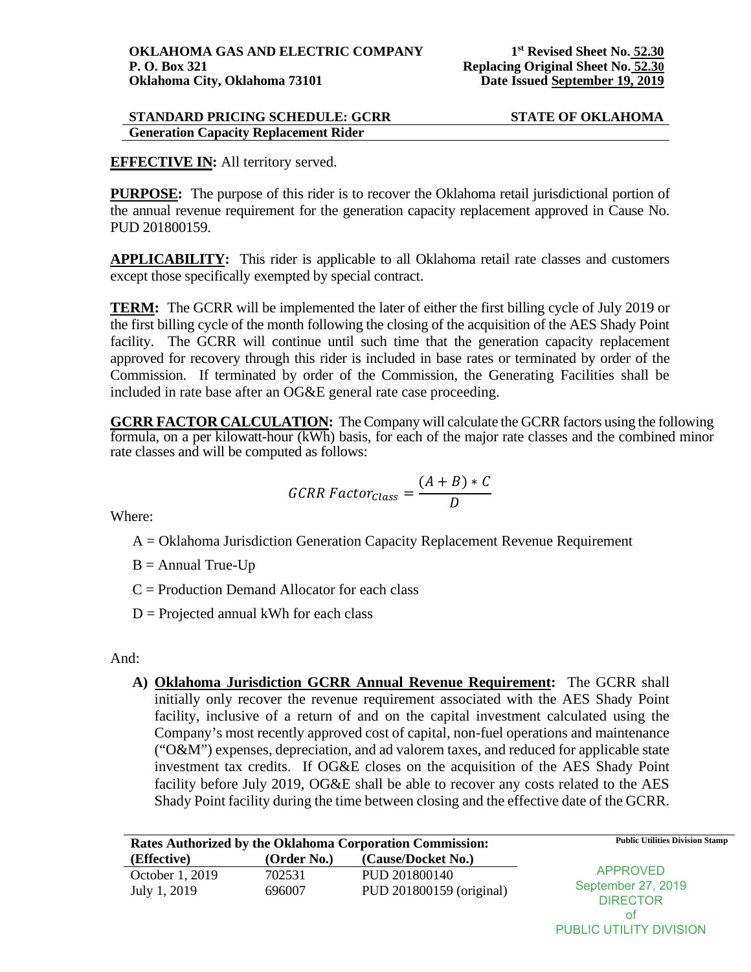# **STANDARD PRICING SCHEDULE: GCRR STATE OF OKLAHOMA Generation Capacity Replacement Rider**

# **EFFECTIVE IN:** All territory served.

**PURPOSE:** The purpose of this rider is to recover the Oklahoma retail jurisdictional portion of the annual revenue requirement for the generation capacity replacement approved in Cause No. PUD 201800159.

**APPLICABILITY:** This rider is applicable to all Oklahoma retail rate classes and customers except those specifically exempted by special contract.

**TERM:** The GCRR will be implemented the later of either the first billing cycle of July 2019 or the first billing cycle of the month following the closing of the acquisition of the AES Shady Point facility. The GCRR will continue until such time that the generation capacity replacement approved for recovery through this rider is included in base rates or terminated by order of the Commission. If terminated by order of the Commission, the Generating Facilities shall be included in rate base after an OG&E general rate case proceeding.

**GCRR FACTOR CALCULATION:** The Company will calculate the GCRR factors using the following formula, on a per kilowatt-hour (kWh) basis, for each of the major rate classes and the combined minor rate classes and will be computed as follows:

$$
GCRR Factor_{Class} = \frac{(A+B) * C}{D}
$$

Where:

A = Oklahoma Jurisdiction Generation Capacity Replacement Revenue Requirement

 $B =$  Annual True-Up

 $C =$  Production Demand Allocator for each class

 $D =$  Projected annual kWh for each class

And:

**A) Oklahoma Jurisdiction GCRR Annual Revenue Requirement:** The GCRR shall initially only recover the revenue requirement associated with the AES Shady Point facility, inclusive of a return of and on the capital investment calculated using the Company's most recently approved cost of capital, non-fuel operations and maintenance ("O&M") expenses, depreciation, and ad valorem taxes, and reduced for applicable state investment tax credits. If OG&E closes on the acquisition of the AES Shady Point facility before July 2019, OG&E shall be able to recover any costs related to the AES Shady Point facility during the time between closing and the effective date of the GCRR.

|                 |             | Rates Authorized by the Oklahoma Corporation Commission: | <b>Public Utilities Division Stamp</b> |
|-----------------|-------------|----------------------------------------------------------|----------------------------------------|
| (Effective)     | (Order No.) | (Cause/Docket No.)                                       |                                        |
| October 1, 2019 | 702531      | PUD 201800140                                            | <b>APPROVED</b>                        |
| July 1, 2019    | 696007      | PUD 201800159 (original)                                 | September 27, 2019<br><b>DIRECTOR</b>  |

of PUBLIC UTILITY DIVISION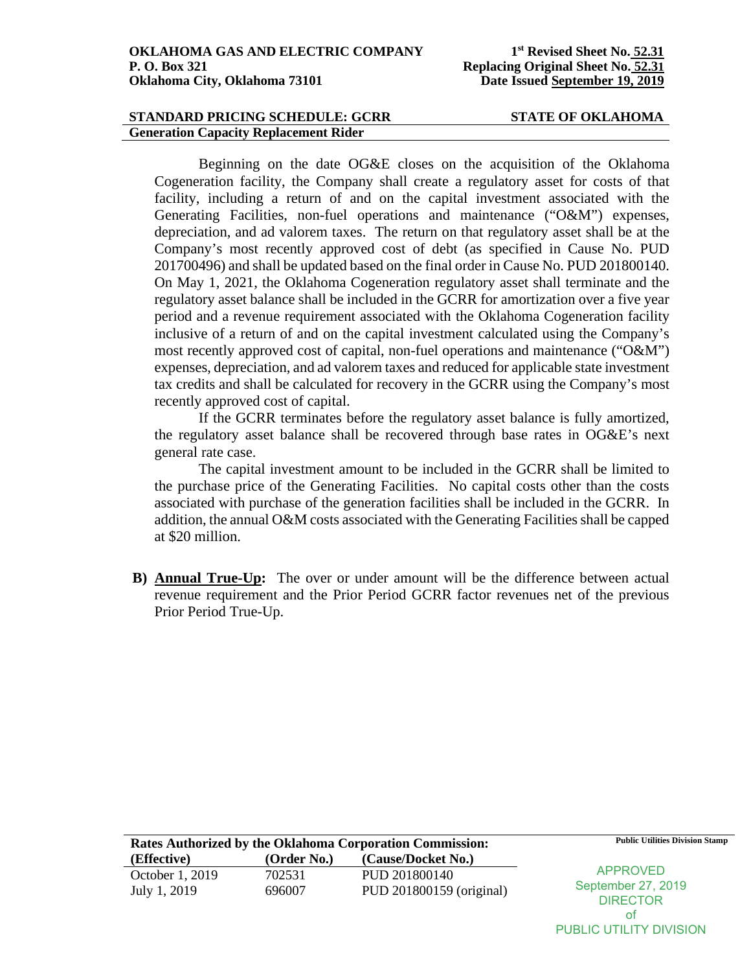### **STANDARD PRICING SCHEDULE: GCRR STATE OF OKLAHOMA Generation Capacity Replacement Rider**

Beginning on the date OG&E closes on the acquisition of the Oklahoma Cogeneration facility, the Company shall create a regulatory asset for costs of that facility, including a return of and on the capital investment associated with the Generating Facilities, non-fuel operations and maintenance ("O&M") expenses, depreciation, and ad valorem taxes. The return on that regulatory asset shall be at the Company's most recently approved cost of debt (as specified in Cause No. PUD 201700496) and shall be updated based on the final order in Cause No. PUD 201800140. On May 1, 2021, the Oklahoma Cogeneration regulatory asset shall terminate and the regulatory asset balance shall be included in the GCRR for amortization over a five year period and a revenue requirement associated with the Oklahoma Cogeneration facility inclusive of a return of and on the capital investment calculated using the Company's most recently approved cost of capital, non-fuel operations and maintenance ("O&M") expenses, depreciation, and ad valorem taxes and reduced for applicable state investment tax credits and shall be calculated for recovery in the GCRR using the Company's most recently approved cost of capital.

If the GCRR terminates before the regulatory asset balance is fully amortized, the regulatory asset balance shall be recovered through base rates in OG&E's next general rate case.

The capital investment amount to be included in the GCRR shall be limited to the purchase price of the Generating Facilities. No capital costs other than the costs associated with purchase of the generation facilities shall be included in the GCRR. In addition, the annual O&M costs associated with the Generating Facilities shall be capped at \$20 million.

**B) Annual True-Up:** The over or under amount will be the difference between actual revenue requirement and the Prior Period GCRR factor revenues net of the previous Prior Period True-Up.

|                 |             | Rates Authorized by the Oklahoma Corporation Commission: | <b>Public Utilities Division Stamp</b> |
|-----------------|-------------|----------------------------------------------------------|----------------------------------------|
| (Effective)     | (Order No.) | (Cause/Docket No.)                                       |                                        |
| October 1, 2019 | 702531      | PUD 201800140                                            | APPROVED                               |
| July 1, 2019    | 696007      | PUD 201800159 (original)                                 | September 27, 2019                     |
|                 |             |                                                          | <b>DIRECTOR</b>                        |

of PUBLIC UTILITY DIVISION